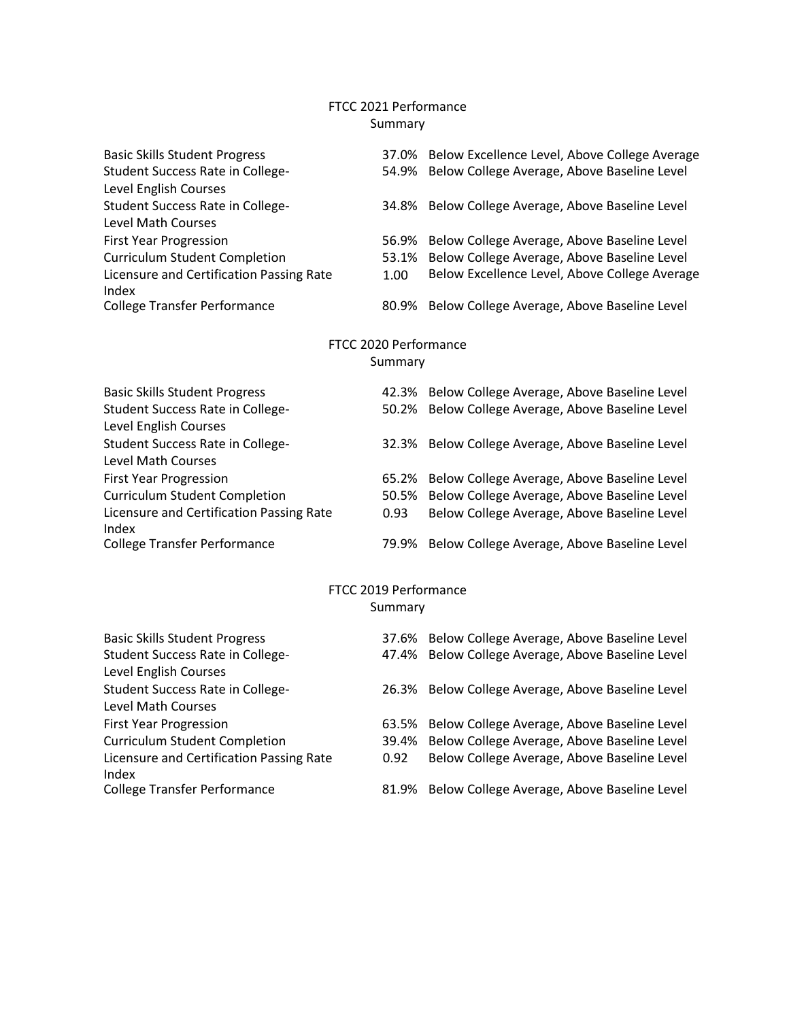## FTCC 2021 Performance Summary

| <b>Basic Skills Student Progress</b>     |       | 37.0% Below Excellence Level, Above College Average |  |  |  |  |  |  |
|------------------------------------------|-------|-----------------------------------------------------|--|--|--|--|--|--|
| Student Success Rate in College-         | 54.9% | Below College Average, Above Baseline Level         |  |  |  |  |  |  |
| Level English Courses                    |       |                                                     |  |  |  |  |  |  |
| Student Success Rate in College-         | 34.8% | Below College Average, Above Baseline Level         |  |  |  |  |  |  |
| <b>Level Math Courses</b>                |       |                                                     |  |  |  |  |  |  |
| <b>First Year Progression</b>            | 56.9% | Below College Average, Above Baseline Level         |  |  |  |  |  |  |
| <b>Curriculum Student Completion</b>     | 53.1% | Below College Average, Above Baseline Level         |  |  |  |  |  |  |
| Licensure and Certification Passing Rate | 1.00  | Below Excellence Level, Above College Average       |  |  |  |  |  |  |
| Index                                    | 80.9% |                                                     |  |  |  |  |  |  |
| <b>College Transfer Performance</b>      |       | Below College Average, Above Baseline Level         |  |  |  |  |  |  |
|                                          |       |                                                     |  |  |  |  |  |  |
| FTCC 2020 Performance<br>Summary         |       |                                                     |  |  |  |  |  |  |
|                                          |       |                                                     |  |  |  |  |  |  |
| <b>Basic Skills Student Progress</b>     |       | 42.3% Below College Average, Above Baseline Level   |  |  |  |  |  |  |
| Student Success Rate in College-         | 50.2% | Below College Average, Above Baseline Level         |  |  |  |  |  |  |
| Level English Courses                    |       |                                                     |  |  |  |  |  |  |
| Student Success Rate in College-         | 32.3% | Below College Average, Above Baseline Level         |  |  |  |  |  |  |
| Level Math Courses                       |       |                                                     |  |  |  |  |  |  |
| <b>First Year Progression</b>            |       | 65.2% Below College Average, Above Baseline Level   |  |  |  |  |  |  |
| <b>Curriculum Student Completion</b>     | 50.5% | Below College Average, Above Baseline Level         |  |  |  |  |  |  |
| Licensure and Certification Passing Rate | 0.93  | Below College Average, Above Baseline Level         |  |  |  |  |  |  |
| Index                                    |       |                                                     |  |  |  |  |  |  |
| <b>College Transfer Performance</b>      | 79.9% | Below College Average, Above Baseline Level         |  |  |  |  |  |  |
|                                          |       |                                                     |  |  |  |  |  |  |
| FTCC 2019 Performance                    |       |                                                     |  |  |  |  |  |  |
| Summary                                  |       |                                                     |  |  |  |  |  |  |
| <b>Basic Skills Student Progress</b>     |       | 37.6% Below College Average, Above Baseline Level   |  |  |  |  |  |  |
| Student Success Rate in College-         | 47.4% | Below College Average, Above Baseline Level         |  |  |  |  |  |  |
| Level English Courses                    |       |                                                     |  |  |  |  |  |  |
| <b>Student Success Rate in College-</b>  | 26.3% | Below College Average, Above Baseline Level         |  |  |  |  |  |  |
| Level Math Courses                       |       |                                                     |  |  |  |  |  |  |
| <b>First Year Progression</b>            | 63.5% | Below College Average, Above Baseline Level         |  |  |  |  |  |  |

- 
- Curriculum Student Completion 39.4% Below College Average, Above Baseline Level
- Licensure and Certification Passing Rate
- Index<br>College Transfer Performance
- 0.92 Below College Average, Above Baseline Level
- 81.9% Below College Average, Above Baseline Level